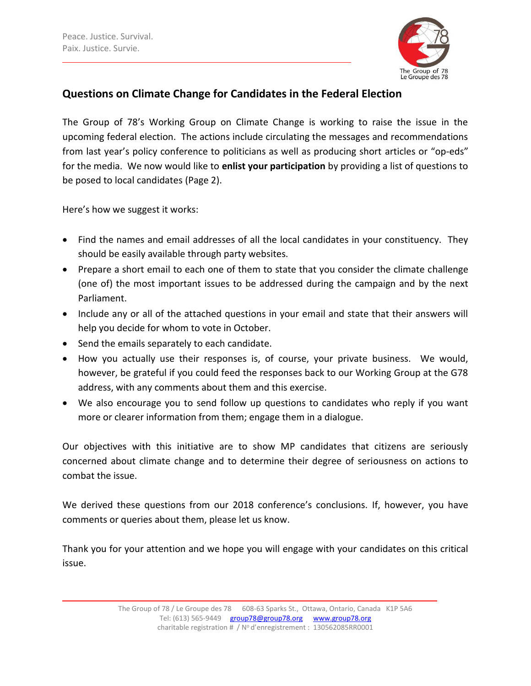

## **Questions on Climate Change for Candidates in the Federal Election**

The Group of 78's Working Group on Climate Change is working to raise the issue in the upcoming federal election. The actions include circulating the messages and recommendations from last year's policy conference to politicians as well as producing short articles or "op-eds" for the media. We now would like to **enlist your participation** by providing a list of questions to be posed to local candidates (Page 2).

Here's how we suggest it works:

- Find the names and email addresses of all the local candidates in your constituency. They should be easily available through party websites.
- Prepare a short email to each one of them to state that you consider the climate challenge (one of) the most important issues to be addressed during the campaign and by the next Parliament.
- Include any or all of the attached questions in your email and state that their answers will help you decide for whom to vote in October.
- Send the emails separately to each candidate.
- How you actually use their responses is, of course, your private business. We would, however, be grateful if you could feed the responses back to our Working Group at the G78 address, with any comments about them and this exercise.
- We also encourage you to send follow up questions to candidates who reply if you want more or clearer information from them; engage them in a dialogue.

Our objectives with this initiative are to show MP candidates that citizens are seriously concerned about climate change and to determine their degree of seriousness on actions to combat the issue.

We derived these questions from our 2018 conference's conclusions. If, however, you have comments or queries about them, please let us know.

Thank you for your attention and we hope you will engage with your candidates on this critical issue.